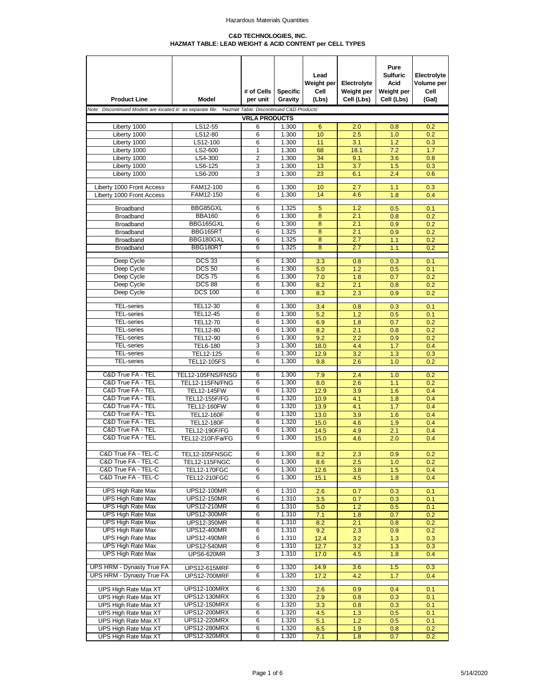#### **C&D TECHNOLOGIES, INC. HAZMAT TABLE: LEAD WEIGHT & ACID CONTENT per CELL TYPES**

| <b>Product Line</b>                                                                                  | Model                                      | # of Cells<br>per unit | <b>Specific</b><br>Gravity | Lead<br>Weight per<br>Cell<br>(Lbs) | Electrolyte<br>Weight per<br>Cell (Lbs) | Pure<br><b>Sulfuric</b><br>Acid<br>Weight per<br>Cell (Lbs) | Electrolyte<br>Volume per<br>Cell<br>(Gal) |
|------------------------------------------------------------------------------------------------------|--------------------------------------------|------------------------|----------------------------|-------------------------------------|-----------------------------------------|-------------------------------------------------------------|--------------------------------------------|
| Note: Discontinued Models are located in as separate file: 'Hazmat Table: Discontinued C&D Products' |                                            |                        |                            |                                     |                                         |                                                             |                                            |
|                                                                                                      |                                            | <b>VRLA PRODUCTS</b>   |                            |                                     |                                         |                                                             |                                            |
| Liberty 1000                                                                                         | LS12-55                                    | 6                      | 1.300                      | 6<br>10                             | 2.0                                     | 0.8                                                         | 0.2                                        |
| Liberty 1000<br>Liberty 1000                                                                         | LS12-80<br>LS12-100                        | 6<br>6                 | 1.300<br>1.300             | 11                                  | 2.5<br>3.1                              | 1.0<br>1.2                                                  | 0.2<br>0.3                                 |
| Liberty 1000                                                                                         | LS2-600                                    | 1                      | 1.300                      | 68                                  | 18.1                                    | 7.2                                                         | 1.7                                        |
| Liberty 1000                                                                                         | LS4-300                                    | $\overline{2}$         | 1.300                      | 34                                  | 9.1                                     | 3.6                                                         | 0.8                                        |
| Liberty 1000                                                                                         | LS6-125                                    | 3                      | 1.300                      | 13                                  | 3.7                                     | 1.5                                                         | 0.3                                        |
| Liberty 1000                                                                                         | LS6-200                                    | 3                      | 1.300                      | 23                                  | 6.1                                     | 2.4                                                         | 0.6                                        |
|                                                                                                      |                                            |                        |                            |                                     |                                         |                                                             |                                            |
| Liberty 1000 Front Access<br>Liberty 1000 Front Access                                               | FAM12-100<br>FAM12-150                     | 6<br>6                 | 1.300<br>1.300             | 10<br>14                            | 2.7<br>4.6                              | 1.1<br>1.8                                                  | 0.3<br>0.4                                 |
|                                                                                                      |                                            |                        |                            |                                     |                                         |                                                             |                                            |
| Broadband                                                                                            | BBG85GXL                                   | 6                      | 1.325                      | 5                                   | 1.2                                     | 0.5                                                         | 0.1                                        |
| Broadband                                                                                            | <b>BBA160</b>                              | 6                      | 1.300                      | 8                                   | 2.1                                     | 0.8                                                         | 0.2                                        |
| Broadband                                                                                            | BBG165GXL                                  | 6                      | 1.300                      | 8                                   | 2.1                                     | 0.9                                                         | 0.2                                        |
| Broadband                                                                                            | BBG165RT                                   | 6                      | 1.325                      | $\overline{8}$                      | 2.1                                     | 0.9                                                         | 0.2                                        |
| Broadband                                                                                            | BBG180GXL<br>BBG180RT                      | 6<br>6                 | 1.325<br>1.325             | 8<br>8                              | 2.7<br>2.7                              | 1.1<br>1.1                                                  | 0.2<br>0.2                                 |
| Broadband                                                                                            |                                            |                        |                            |                                     |                                         |                                                             |                                            |
| Deep Cycle                                                                                           | <b>DCS 33</b>                              | 6                      | 1.300                      | 3.3                                 | 0.8                                     | 0.3                                                         | 0.1                                        |
| Deep Cycle                                                                                           | <b>DCS 50</b>                              | 6                      | 1.300                      | 5.0                                 | 1.2                                     | 0.5                                                         | 0.1                                        |
| Deep Cycle                                                                                           | <b>DCS 75</b>                              | 6                      | 1.300                      | 7.0                                 | 1.8                                     | 0.7                                                         | 0.2                                        |
| Deep Cycle                                                                                           | <b>DCS 88</b>                              | 6                      | 1.300                      | 8.2                                 | 2.1                                     | 0.8                                                         | 0.2                                        |
| Deep Cycle                                                                                           | <b>DCS 100</b>                             | 6                      | 1.300                      | 8.3                                 | 2.3                                     | 0.9                                                         | 0.2                                        |
| <b>TEL-series</b>                                                                                    | TEL12-30                                   | 6                      | 1.300                      | 3.4                                 | 0.8                                     | 0.3                                                         | 0.1                                        |
| <b>TEL-series</b>                                                                                    | TEL12-45                                   | 6                      | 1.300                      | 5.2                                 | 1.2                                     | 0.5                                                         | 0.1                                        |
| <b>TEL-series</b>                                                                                    | TEL12-70                                   | 6                      | 1.300                      | 6.9                                 | 1.8                                     | 0.7                                                         | 0.2                                        |
| <b>TEL-series</b>                                                                                    | TEL12-80                                   | 6                      | 1.300                      | 8.2                                 | 2.1                                     | 0.8                                                         | 0.2                                        |
| <b>TEL-series</b>                                                                                    | TEL12-90                                   | 6                      | 1.300                      | 9.2                                 | 2.2                                     | 0.9                                                         | 0.2                                        |
| <b>TEL-series</b>                                                                                    | <b>TEL6-180</b>                            | 3                      | 1.300                      | 18.0                                | 4.4                                     | 1.7                                                         | 0.4                                        |
| <b>TEL-series</b>                                                                                    | TEL12-125                                  | 6                      | 1.300                      | 12.9                                | 3.2                                     | 1.3                                                         | 0.3                                        |
| <b>TEL-series</b>                                                                                    | <b>TEL12-105FS</b>                         | 6                      | 1.300                      | 9.8                                 | 2.6                                     | 1.0                                                         | 0.2                                        |
| C&D True FA - TEL                                                                                    | TEL12-105FNS/FNSG                          | 6                      | 1.300                      | 7.9                                 | 2.4                                     | 1.0                                                         | 0.2                                        |
| C&D True FA - TEL                                                                                    | <b>TEL12-115FN/FNG</b>                     | 6                      | 1.300                      | 8.0                                 | 2.6                                     | 1.1                                                         | 0.2                                        |
| C&D True FA - TEL                                                                                    | <b>TEL12-145FW</b>                         | 6                      | 1.320                      | 12.9                                | 3.9                                     | 1.6                                                         | 0.4                                        |
| C&D True FA - TEL                                                                                    | TEL12-155F/FG                              | 6                      | 1.320                      | 10.9                                | 4.1                                     | 1.8                                                         | 0.4                                        |
| C&D True FA - TEL                                                                                    | <b>TEL12-160FW</b>                         | 6                      | 1.320                      | 13.9                                | 4.1                                     | 1.7                                                         | 0.4                                        |
| C&D True FA - TEL                                                                                    | <b>TEL12-160F</b>                          | 6                      | 1.320                      | 13.0                                | 3.9                                     | 1.6                                                         | 0.4                                        |
| C&D True FA - TEL<br>C&D True FA - TEL                                                               | <b>TEL12-180F</b>                          | 6                      | 1.320                      | 15.0                                | 4.6                                     | 1.9                                                         | 0.4                                        |
| C&D True FA - TEL                                                                                    | <b>TEL12-190F/FG</b><br>TEL12-210F/Fa/FG   | 6<br>6                 | 1.300<br>1.300             | 14.5<br>15.0                        | 4.9<br>4.6                              | 2.1<br>2.0                                                  | 0.4<br>0.4                                 |
|                                                                                                      |                                            |                        |                            |                                     |                                         |                                                             |                                            |
| C&D True FA - TEL-C                                                                                  | TEL12-105FNSGC                             | 6                      | 1.300                      | 8.2                                 | 2.3                                     | 0.9                                                         | 0.2                                        |
| C&D True FA - TEL-C                                                                                  | TEL12-115FNGC                              | 6                      | 1.300                      | 8.6                                 | 2.5                                     | 1.0                                                         | 0.2                                        |
| C&D True FA - TEL-C                                                                                  | <b>TEL12-170FGC</b>                        | 6                      | 1.300                      | 12.6                                | 3.8                                     | 1.5                                                         | 0.4                                        |
| C&D True FA - TEL-C                                                                                  | <b>TEL12-210FGC</b>                        | 6                      | 1.300                      | 15.1                                | 4.5                                     | 1.8                                                         | 0.4                                        |
| <b>UPS High Rate Max</b>                                                                             | <b>UPS12-100MR</b>                         | 6                      | 1.310                      |                                     |                                         |                                                             |                                            |
| <b>UPS High Rate Max</b>                                                                             | <b>UPS12-150MR</b>                         | 6                      | 1.310                      | 2.6<br>3.5                          | 0.7<br>0.7                              | 0.3<br>0.3                                                  | 0.1<br>0.1                                 |
| <b>UPS High Rate Max</b>                                                                             | <b>UPS12-210MR</b>                         | 6                      | 1.310                      | 5.0                                 | 1.2                                     | 0.5                                                         | 0.1                                        |
| <b>UPS High Rate Max</b>                                                                             | <b>UPS12-300MR</b>                         | 6                      | 1.310                      | 7.1                                 | 1.8                                     | 0.7                                                         | 0.2                                        |
| <b>UPS High Rate Max</b>                                                                             | <b>UPS12-350MR</b>                         | 6                      | 1.310                      | 8.2                                 | 2.1                                     | 0.8                                                         | 0.2                                        |
| <b>UPS High Rate Max</b>                                                                             | <b>UPS12-400MR</b>                         | 6                      | 1.310                      | 9.2                                 | 2.3                                     | 0.9                                                         | 0.2                                        |
| UPS High Rate Max                                                                                    | <b>UPS12-490MR</b>                         | 6                      | 1.310                      | 12.4                                | 3.2                                     | 1.3                                                         | 0.3                                        |
| <b>UPS High Rate Max</b>                                                                             | <b>UPS12-540MR</b>                         | 6                      | 1.310                      | 12.7                                | 3.2                                     | 1.3                                                         | 0.3                                        |
| <b>UPS High Rate Max</b>                                                                             | <b>UPS6-620MR</b>                          | 3                      | 1.310                      | 17.0                                | 4.5                                     | 1.8                                                         | 0.4                                        |
| <b>UPS HRM - Dynasty True FA</b>                                                                     | <b>UPS12-615MRF</b>                        | 6                      | 1.320                      | 14.9                                | 3.6                                     | 1.5                                                         | 0.3                                        |
| <b>UPS HRM - Dynasty True FA</b>                                                                     | <b>UPS12-700MRF</b>                        | 6                      | 1.320                      | 17.2                                | 4.2                                     | 1.7                                                         | 0.4                                        |
|                                                                                                      |                                            |                        |                            |                                     |                                         |                                                             |                                            |
| UPS High Rate Max XT                                                                                 | <b>UPS12-100MRX</b>                        | 6                      | 1.320                      | 2.6                                 | 0.9                                     | 0.4                                                         | 0.1                                        |
| UPS High Rate Max XT                                                                                 | <b>UPS12-130MRX</b><br><b>UPS12-150MRX</b> | 6<br>6                 | 1.320<br>1.320             | 2.9                                 | 0.8                                     | 0.3                                                         | 0.1                                        |
| UPS High Rate Max XT<br>UPS High Rate Max XT                                                         | <b>UPS12-200MRX</b>                        | 6                      | 1.320                      | 3.3<br>4.5                          | 0.8                                     | 0.3                                                         | 0.1                                        |
| UPS High Rate Max XT                                                                                 | <b>UPS12-220MRX</b>                        | 6                      | 1.320                      | 5.1                                 | 1.3<br>1.2                              | 0.5<br>0.5                                                  | 0.1<br>0.1                                 |
| UPS High Rate Max XT                                                                                 | <b>UPS12-280MRX</b>                        | 6                      | 1.320                      | 6.5                                 | 1.9                                     | 0.8                                                         | 0.2                                        |
| UPS High Rate Max XT                                                                                 | <b>UPS12-320MRX</b>                        | 6                      | 1.320                      | 7.1                                 | 1.8                                     | 0.7                                                         | 0.2                                        |
|                                                                                                      |                                            |                        |                            |                                     |                                         |                                                             |                                            |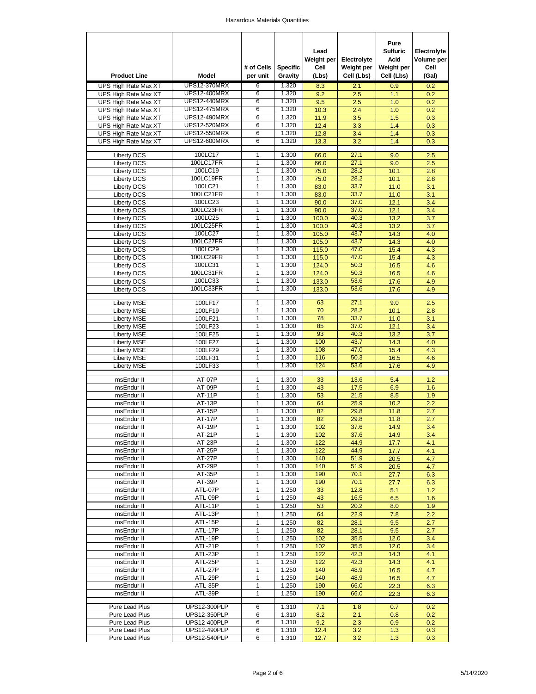| <b>Product Line</b>                      | Model                | # of Cells<br>per unit | <b>Specific</b><br>Gravity | Lead<br>Weight per<br>Cell<br>(Lbs) | Electrolyte<br>Weight per<br>Cell (Lbs) | Pure<br><b>Sulfuric</b><br>Acid<br>Weight per<br>Cell (Lbs) | Electrolyte<br>Volume per<br>Cell<br>(Gal) |
|------------------------------------------|----------------------|------------------------|----------------------------|-------------------------------------|-----------------------------------------|-------------------------------------------------------------|--------------------------------------------|
| UPS High Rate Max XT                     | <b>UPS12-370MRX</b>  | 6                      | 1.320                      | 8.3                                 | 2.1                                     | 0.9                                                         | 0.2                                        |
| UPS High Rate Max XT                     | <b>UPS12-400MRX</b>  | 6                      | 1.320                      | 9.2                                 | 2.5                                     | 1.1                                                         | 0.2                                        |
| UPS High Rate Max XT                     | <b>UPS12-440MRX</b>  | 6                      | 1.320                      | 9.5                                 | 2.5                                     | 1.0                                                         | 0.2                                        |
| UPS High Rate Max XT                     | <b>UPS12-475MRX</b>  | 6                      | 1.320                      | 10.3                                | 2.4                                     | 1.0                                                         | 0.2                                        |
| UPS High Rate Max XT                     | <b>UPS12-490MRX</b>  | 6                      | 1.320                      | 11.9                                | 3.5                                     | 1.5                                                         | 0.3                                        |
| UPS High Rate Max XT                     | <b>UPS12-520MRX</b>  | 6                      | 1.320                      | 12.4                                | 3.3                                     | 1.4                                                         | 0.3                                        |
| UPS High Rate Max XT                     | <b>UPS12-550MRX</b>  | 6                      | 1.320                      | 12.8                                | 3.4                                     | 1.4                                                         | 0.3                                        |
| UPS High Rate Max XT                     | <b>UPS12-600MRX</b>  | 6                      | 1.320                      | 13.3                                | 3.2                                     | 1.4                                                         | 0.3                                        |
| <b>Liberty DCS</b>                       | 100LC17              | 1                      | 1.300                      | 66.0                                | 27.1                                    | 9.0                                                         | 2.5                                        |
| <b>Liberty DCS</b>                       | 100LC17FR            | 1                      | 1.300                      | 66.0                                | 27.1                                    | 9.0                                                         | 2.5                                        |
| <b>Liberty DCS</b>                       | 100LC19              | 1                      | 1.300                      | 75.0                                | 28.2                                    | 10.1                                                        | 2.8                                        |
| <b>Liberty DCS</b>                       | 100LC19FR            | 1                      | 1.300                      | 75.0                                | 28.2                                    | 10.1                                                        | 2.8                                        |
| <b>Liberty DCS</b>                       | 100LC21              | 1                      | 1.300                      | 83.0                                | 33.7                                    | 11.0                                                        | 3.1                                        |
| <b>Liberty DCS</b>                       | 100LC21FR            | 1                      | 1.300                      | 83.0                                | 33.7                                    | 11.0                                                        | 3.1                                        |
| <b>Liberty DCS</b>                       | 100LC23              | 1                      | 1.300                      | 90.0                                | 37.0                                    | 12.1                                                        | 3.4                                        |
| <b>Liberty DCS</b>                       | 100LC23FR            | 1                      | 1.300                      | 90.0                                | 37.0                                    | 12.1                                                        | 3.4                                        |
| <b>Liberty DCS</b>                       | 100LC25              | 1                      | 1.300                      | 100.0                               | 40.3                                    | 13.2                                                        | 3.7                                        |
| <b>Liberty DCS</b>                       | 100LC25FR            | 1                      | 1.300                      | 100.0                               | 40.3                                    | 13.2                                                        | 3.7                                        |
| <b>Liberty DCS</b>                       | 100LC27              | 1                      | 1.300                      | 105.0                               | 43.7                                    | 14.3                                                        | 4.0                                        |
| <b>Liberty DCS</b>                       | 100LC27FR            | 1                      | 1.300                      | 105.0                               | 43.7                                    | 14.3                                                        | 4.0                                        |
| <b>Liberty DCS</b>                       | 100LC29<br>100LC29FR | 1<br>1                 | 1.300<br>1.300             | 115.0                               | 47.0<br>47.0                            | 15.4                                                        | 4.3                                        |
| <b>Liberty DCS</b><br><b>Liberty DCS</b> | 100LC31              | 1                      | 1.300                      | 115.0<br>124.0                      | 50.3                                    | 15.4<br>16.5                                                | 4.3<br>4.6                                 |
| <b>Liberty DCS</b>                       | 100LC31FR            | 1                      | 1.300                      | 124.0                               | 50.3                                    | 16.5                                                        | 4.6                                        |
| <b>Liberty DCS</b>                       | 100LC33              | 1                      | 1.300                      | 133.0                               | 53.6                                    | 17.6                                                        | 4.9                                        |
| <b>Liberty DCS</b>                       | 100LC33FR            | 1                      | 1.300                      | 133.0                               | 53.6                                    | 17.6                                                        | 4.9                                        |
|                                          |                      |                        |                            |                                     |                                         |                                                             |                                            |
| <b>Liberty MSE</b>                       | 100LF17              | 1                      | 1.300                      | 63                                  | 27.1                                    | 9.0                                                         | 2.5                                        |
| <b>Liberty MSE</b>                       | 100LF19              | 1                      | 1.300                      | 70                                  | 28.2                                    | 10.1                                                        | 2.8                                        |
| <b>Liberty MSE</b>                       | 100LF21              | 1                      | 1.300                      | 78                                  | 33.7                                    | 11.0                                                        | 3.1                                        |
| <b>Liberty MSE</b>                       | 100LF23              | 1                      | 1.300                      | 85                                  | 37.0                                    | 12.1                                                        | 3.4                                        |
| <b>Liberty MSE</b>                       | 100LF25              | 1<br>1                 | 1.300                      | 93<br>100                           | 40.3<br>43.7                            | 13.2                                                        | 3.7                                        |
| <b>Liberty MSE</b><br><b>Liberty MSE</b> | 100LF27<br>100LF29   | 1                      | 1.300<br>1.300             | 108                                 | 47.0                                    | 14.3<br>15.4                                                | 4.0<br>4.3                                 |
| <b>Liberty MSE</b>                       | 100LF31              | 1                      | 1.300                      | 116                                 | 50.3                                    | 16.5                                                        | 4.6                                        |
| <b>Liberty MSE</b>                       | 100LF33              | 1                      | 1.300                      | 124                                 | 53.6                                    | 17.6                                                        | 4.9                                        |
|                                          |                      |                        |                            |                                     |                                         |                                                             |                                            |
| msEndur II                               | <b>AT-07P</b>        | 1                      | 1.300                      | 33                                  | 13.6                                    | 5.4                                                         | 1.2                                        |
| msEndur II                               | AT-09P               | 1                      | 1.300                      | 43                                  | 17.5                                    | 6.9                                                         | 1.6                                        |
| msEndur II                               | AT-11P               | 1                      | 1.300                      | 53                                  | 21.5                                    | 8.5                                                         | 1.9                                        |
| msEndur II                               | AT-13P               | 1                      | 1.300                      | 64                                  | 25.9                                    | 10.2                                                        | 2.2                                        |
| msEndur II                               | <b>AT-15P</b>        | 1                      | 1.300                      | 82                                  | 29.8                                    | 11.8                                                        | 2.7                                        |
| msEndur II                               | <b>AT-17P</b>        | 1                      | 1.300                      | 82                                  | 29.8                                    | 11.8                                                        | 2.7                                        |
| msEndur II                               | AT-19P               | 1                      | 1.300                      | 102                                 | 37.6                                    | 14.9                                                        | 3.4                                        |
| msEndur II                               | AT-21P               | 1                      | 1.300                      | 102                                 | 37.6                                    | 14.9                                                        | 3.4                                        |
| msEndur II                               | AT-23P<br>$AT-25P$   | 1<br>1                 | 1.300<br>1.300             | 122<br>122                          | 44.9<br>44.9                            | 17.7<br>17.7                                                | 4.1<br>4.1                                 |
| msEndur II<br>msEndur II                 | AT-27P               | 1                      | 1.300                      | 140                                 | 51.9                                    | 20.5                                                        | 4.7                                        |
| msEndur II                               | AT-29P               | 1                      | 1.300                      | 140                                 | 51.9                                    | 20.5                                                        | 4.7                                        |
| msEndur II                               | AT-35P               | 1                      | 1.300                      | 190                                 | 70.1                                    | 27.7                                                        | 6.3                                        |
| msEndur II                               | AT-39P               | 1                      | 1.300                      | 190                                 | 70.1                                    | 27.7                                                        | 6.3                                        |
| msEndur II                               | ATL-07P              | 1                      | 1.250                      | 33                                  | 12.8                                    | 5.1                                                         | 1.2                                        |
| msEndur II                               | ATL-09P              | 1                      | 1.250                      | 43                                  | 16.5                                    | 6.5                                                         | 1.6                                        |
| msEndur II                               | ATL-11P              | 1                      | 1.250                      | 53                                  | 20.2                                    | 8.0                                                         | 1.9                                        |
| msEndur II                               | ATL-13P              | 1                      | 1.250                      | 64                                  | 22.9                                    | 7.8                                                         | 2.2                                        |
| msEndur II                               | ATL-15P              | 1                      | 1.250                      | 82                                  | 28.1                                    | 9.5                                                         | 2.7                                        |
| msEndur II                               | ATL-17P              | 1                      | 1.250                      | 82                                  | 28.1                                    | 9.5                                                         | 2.7                                        |
| msEndur II                               | ATL-19P              | 1                      | 1.250                      | 102                                 | 35.5                                    | 12.0                                                        | 3.4                                        |
| msEndur II                               | ATL-21P              | 1                      | 1.250                      | 102                                 | 35.5                                    | 12.0                                                        | 3.4                                        |
| msEndur II                               | ATL-23P              | 1                      | 1.250                      | 122                                 | 42.3                                    | 14.3                                                        | 4.1                                        |
| msEndur II                               | ATL-25P              | 1                      | 1.250                      | 122                                 | 42.3                                    | 14.3                                                        | 4.1                                        |
| msEndur II                               | ATL-27P              | 1                      | 1.250                      | 140                                 | 48.9                                    | 16.5                                                        | 4.7                                        |
| msEndur II                               | ATL-29P              | 1                      | 1.250                      | 140                                 | 48.9                                    | 16.5                                                        | 4.7                                        |
| msEndur II                               | ATL-35P              | 1                      | 1.250                      | 190                                 | 66.0                                    | 22.3                                                        | 6.3                                        |
| msEndur II                               | ATL-39P              | 1                      | 1.250                      | 190                                 | 66.0                                    | 22.3                                                        | 6.3                                        |
| Pure Lead Plus                           | UPS12-300PLP         | 6                      | 1.310                      | 7.1                                 | 1.8                                     | 0.7                                                         | 0.2                                        |
| Pure Lead Plus                           | UPS12-350PLP         | 6                      | 1.310                      | 8.2                                 | 2.1                                     | 0.8                                                         | 0.2                                        |
| Pure Lead Plus                           | <b>UPS12-400PLP</b>  | 6                      | 1.310                      | 9.2                                 | 2.3                                     | 0.9                                                         | 0.2                                        |
| Pure Lead Plus                           | UPS12-490PLP         | 6                      | 1.310                      | 12.4                                | 3.2                                     | 1.3                                                         | 0.3                                        |
| Pure Lead Plus                           | UPS12-540PLP         | 6                      | 1.310                      | 12.7                                | 3.2                                     | 1.3                                                         | 0.3                                        |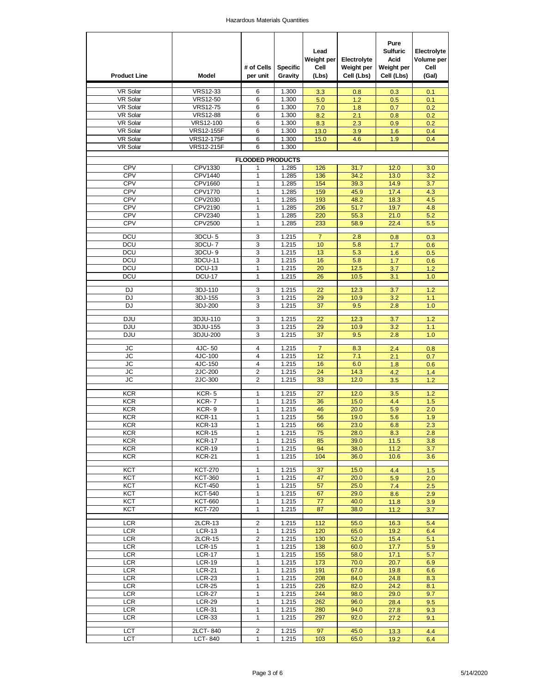| <b>Product Line</b>      | Model                          | # of Cells<br>per unit  | <b>Specific</b><br>Gravity | Lead<br>Weight per<br>Cell<br>(Lbs) | Electrolyte<br>Weight per<br>Cell (Lbs) | Pure<br><b>Sulfuric</b><br>Acid<br>Weight per<br>Cell (Lbs) | Electrolyte<br>Volume per<br>Cell<br>(Gal) |
|--------------------------|--------------------------------|-------------------------|----------------------------|-------------------------------------|-----------------------------------------|-------------------------------------------------------------|--------------------------------------------|
| <b>VR Solar</b>          | <b>VRS12-33</b>                | 6                       | 1.300                      | 3.3                                 | 0.8                                     | 0.3                                                         | 0.1                                        |
| <b>VR Solar</b>          | <b>VRS12-50</b>                | 6                       | 1.300                      | 5.0                                 | 1.2                                     | 0.5                                                         | 0.1                                        |
| <b>VR Solar</b>          | <b>VRS12-75</b>                | 6                       | 1.300                      | 7.0                                 | 1.8                                     | 0.7                                                         | 0.2                                        |
| <b>VR Solar</b>          | <b>VRS12-88</b>                | 6                       | 1.300                      | 8.2                                 | 2.1                                     | 0.8                                                         | 0.2                                        |
| <b>VR Solar</b>          | VRS12-100                      | 6                       | 1.300                      | 8.3                                 | 2.3                                     | 0.9                                                         | 0.2                                        |
| <b>VR Solar</b>          | <b>VRS12-155F</b>              | 6                       | 1.300                      | 13.0                                | 3.9                                     | 1.6                                                         | 0.4                                        |
| <b>VR Solar</b>          | <b>VRS12-175F</b>              | 6                       | 1.300                      | 15.0                                | 4.6                                     | 1.9                                                         | 0.4                                        |
| <b>VR Solar</b>          | <b>VRS12-215F</b>              | 6                       | 1.300                      |                                     |                                         |                                                             |                                            |
|                          |                                | <b>FLOODED PRODUCTS</b> |                            |                                     |                                         |                                                             |                                            |
| <b>CPV</b>               | CPV1330                        | 1                       | 1.285                      | 126                                 | 31.7                                    | 12.0                                                        | 3.0                                        |
| CPV                      | CPV1440                        | 1                       | 1.285                      | 136                                 | 34.2                                    | 13.0                                                        | 3.2                                        |
| <b>CPV</b><br>CPV        | CPV1660<br><b>CPV1770</b>      | 1<br>1                  | 1.285<br>1.285             | 154<br>159                          | 39.3<br>45.9                            | 14.9<br>17.4                                                | 3.7<br>4.3                                 |
| <b>CPV</b>               | CPV2030                        | 1                       | 1.285                      | 193                                 | 48.2                                    | 18.3                                                        | 4.5                                        |
| CPV                      | CPV2190                        | 1                       | 1.285                      | 206                                 | 51.7                                    | 19.7                                                        | 4.8                                        |
| <b>CPV</b>               | CPV2340                        | 1                       | 1.285                      | 220                                 | 55.3                                    | 21.0                                                        | 5.2                                        |
| CPV                      | CPV2500                        | 1                       | 1.285                      | 233                                 | 58.9                                    | 22.4                                                        | 5.5                                        |
| <b>DCU</b>               |                                |                         |                            | $\overline{7}$                      |                                         |                                                             |                                            |
| <b>DCU</b>               | 3DCU-5<br>3DCU-7               | 3<br>3                  | 1.215<br>1.215             | 10                                  | 2.8<br>5.8                              | 0.8<br>1.7                                                  | 0.3<br>0.6                                 |
| <b>DCU</b>               | 3DCU-9                         | 3                       | 1.215                      | 13                                  | 5.3                                     | 1.6                                                         | 0.5                                        |
| <b>DCU</b>               | 3DCU-11                        | 3                       | 1.215                      | 16                                  | 5.8                                     | 1.7                                                         | 0.6                                        |
| <b>DCU</b>               | <b>DCU-13</b>                  | 1                       | 1.215                      | 20                                  | 12.5                                    | 3.7                                                         | 1.2                                        |
| <b>DCU</b>               | <b>DCU-17</b>                  | 1                       | 1.215                      | 26                                  | 10.5                                    | 3.1                                                         | 1.0                                        |
|                          |                                |                         |                            |                                     |                                         |                                                             |                                            |
| <b>DJ</b>                | 3DJ-110                        | 3                       | 1.215                      | 22                                  | 12.3                                    | 3.7                                                         | 1.2                                        |
| <b>DJ</b><br><b>DJ</b>   | 3DJ-155                        | 3<br>3                  | 1.215<br>1.215             | 29<br>37                            | 10.9                                    | 3.2<br>2.8                                                  | 1.1<br>1.0                                 |
|                          | 3DJ-200                        |                         |                            |                                     | 9.5                                     |                                                             |                                            |
| <b>DJU</b>               | 3DJU-110                       | 3                       | 1.215                      | 22                                  | 12.3                                    | 3.7                                                         | 1.2                                        |
| <b>DJU</b>               | 3DJU-155                       | 3                       | 1.215                      | 29                                  | 10.9                                    | 3.2                                                         | 1.1                                        |
| <b>DJU</b>               | 3DJU-200                       | 3                       | 1.215                      | 37                                  | 9.5                                     | 2.8                                                         | 1.0                                        |
| JС                       | 4JC-50                         | 4                       | 1.215                      | $\overline{7}$                      | 8.3                                     | 2.4                                                         | 0.8                                        |
| JС                       | 4JC-100                        | 4                       | 1.215                      | 12                                  | 7.1                                     | 2.1                                                         | 0.7                                        |
| JС                       | 4JC-150                        | $\overline{4}$          | 1.215                      | 16                                  | 6.0                                     | 1.8                                                         | 0.6                                        |
| JС                       | 2JC-200                        | $\overline{2}$          | 1.215                      | 24                                  | 14.3                                    | 4.2                                                         | 1.4                                        |
| <b>JC</b>                | 2JC-300                        | $\overline{2}$          | 1.215                      | 33                                  | 12.0                                    | 3.5                                                         | 1.2                                        |
| <b>KCR</b>               | KCR-5                          | 1                       | 1.215                      | 27                                  | 12.0                                    |                                                             |                                            |
| <b>KCR</b>               | KCR-7                          | 1                       | 1.215                      | 36                                  | 15.0                                    | 3.5<br>4.4                                                  | 1.2<br>1.5                                 |
| <b>KCR</b>               | KCR-9                          | 1                       | 1.215                      | 46                                  | 20.0                                    | 5.9                                                         | 2.0                                        |
| <b>KCR</b>               | <b>KCR-11</b>                  | 1                       | 1.215                      | 56                                  | 19.0                                    | 5.6                                                         | 1.9                                        |
| KCR                      | <b>KCR-13</b>                  | 1                       | 1.215                      | 66                                  | 23.0                                    | 6.8                                                         | 2.3                                        |
| <b>KCR</b>               | <b>KCR-15</b>                  | 1                       | 1.215                      | 75                                  | 28.0                                    | 8.3                                                         | 2.8                                        |
| <b>KCR</b>               | <b>KCR-17</b>                  | 1                       | 1.215                      | 85                                  | 39.0                                    | 11.5                                                        | 3.8                                        |
| <b>KCR</b>               | <b>KCR-19</b>                  | 1                       | 1.215                      | 94                                  | 38.0                                    | 11.2                                                        | 3.7                                        |
| <b>KCR</b>               | <b>KCR-21</b>                  | 1                       | 1.215                      | 104                                 | 36.0                                    | 10.6                                                        | 3.6                                        |
| KCT                      | <b>KCT-270</b>                 | 1                       | 1.215                      | 37                                  | 15.0                                    | 4.4                                                         | 1.5                                        |
| <b>KCT</b>               | <b>KCT-360</b>                 | 1                       | 1.215                      | 47                                  | 20.0                                    | 5.9                                                         | 2.0                                        |
| KCT                      | <b>KCT-450</b>                 | 1                       | 1.215                      | 57                                  | 25.0                                    | 7.4                                                         | 2.5                                        |
| KCT                      | <b>KCT-540</b>                 | 1                       | 1.215                      | 67                                  | 29.0                                    | 8.6                                                         | 2.9                                        |
| KCT                      | <b>KCT-660</b>                 | 1                       | 1.215                      | 77                                  | 40.0                                    | 11.8                                                        | 3.9                                        |
| KCT                      | <b>KCT-720</b>                 | 1                       | 1.215                      | 87                                  | 38.0                                    | 11.2                                                        | 3.7                                        |
| <b>LCR</b>               | 2LCR-13                        | 2                       | 1.215                      | 112                                 | 55.0                                    | 16.3                                                        | 5.4                                        |
| <b>LCR</b>               | <b>LCR-13</b>                  | 1                       | 1.215                      | 120                                 | 65.0                                    | 19.2                                                        | 6.4                                        |
| <b>LCR</b>               | 2LCR-15                        | 2                       | 1.215                      | 130                                 | 52.0                                    | 15.4                                                        | 5.1                                        |
| <b>LCR</b>               | $LCR-15$                       | 1                       | 1.215                      | 138                                 | 60.0                                    | 17.7                                                        | 5.9                                        |
| <b>LCR</b>               | <b>LCR-17</b>                  | 1                       | 1.215                      | 155                                 | 58.0                                    | 17.1                                                        | 5.7                                        |
| <b>LCR</b><br><b>LCR</b> | <b>LCR-19</b><br><b>LCR-21</b> | 1<br>1                  | 1.215<br>1.215             | 173<br>191                          | 70.0<br>67.0                            | 20.7                                                        | 6.9                                        |
| <b>LCR</b>               | <b>LCR-23</b>                  | 1                       | 1.215                      | 208                                 | 84.0                                    | 19.8<br>24.8                                                | 6.6<br>8.3                                 |
| <b>LCR</b>               | <b>LCR-25</b>                  | 1                       | 1.215                      | 226                                 | 82.0                                    | 24.2                                                        | 8.1                                        |
| <b>LCR</b>               | <b>LCR-27</b>                  | 1                       | 1.215                      | 244                                 | 98.0                                    | 29.0                                                        | 9.7                                        |
| <b>LCR</b>               | <b>LCR-29</b>                  | 1                       | 1.215                      | 262                                 | 96.0                                    | 28.4                                                        | 9.5                                        |
| <b>LCR</b>               | <b>LCR-31</b>                  | 1                       | 1.215                      | 280                                 | 94.0                                    | 27.8                                                        | 9.3                                        |
| <b>LCR</b>               | <b>LCR-33</b>                  | 1                       | 1.215                      | 297                                 | 92.0                                    | 27.2                                                        | 9.1                                        |
| LCT                      | 2LCT-840                       | $\overline{c}$          | 1.215                      | 97                                  | 45.0                                    | 13.3                                                        | 4.4                                        |
| <b>LCT</b>               | LCT-840                        | $\mathbf{1}$            | 1.215                      | 103                                 | 65.0                                    | 19.2                                                        | 6.4                                        |
|                          |                                |                         |                            |                                     |                                         |                                                             |                                            |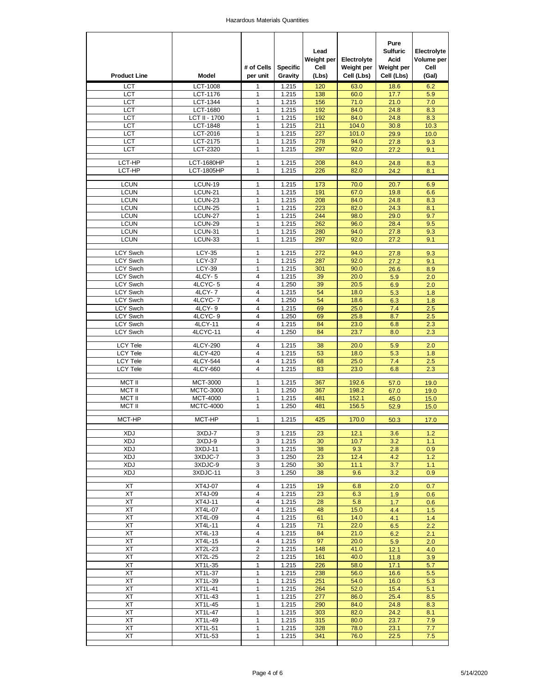| <b>Product Line</b>                | Model                               | # of Cells<br>per unit | <b>Specific</b><br>Gravity | Lead<br>Weight per<br>Cell<br>(Lbs) | Electrolyte<br>Weight per<br>Cell (Lbs) | Pure<br><b>Sulfuric</b><br><b>Acid</b><br>Weight per<br>Cell (Lbs) | Electrolyte<br>Volume per<br>Cell<br>(Gal) |
|------------------------------------|-------------------------------------|------------------------|----------------------------|-------------------------------------|-----------------------------------------|--------------------------------------------------------------------|--------------------------------------------|
| LCT                                | <b>LCT-1008</b>                     | 1                      | 1.215                      | 120                                 | 63.0                                    | 18.6                                                               | 6.2                                        |
| LCT                                | LCT-1176                            | 1                      | 1.215                      | 138                                 | 60.0                                    | 17.7                                                               | 5.9                                        |
| <b>LCT</b>                         | LCT-1344                            | 1                      | 1.215                      | 156                                 | 71.0                                    | 21.0                                                               | 7.0                                        |
| LCT<br>LCT                         | <b>LCT-1680</b><br>LCT II - 1700    | 1<br>1                 | 1.215<br>1.215             | 192<br>192                          | 84.0<br>84.0                            | 24.8<br>24.8                                                       | 8.3<br>8.3                                 |
| LCT                                | <b>LCT-1848</b>                     | 1                      | 1.215                      | 211                                 | 104.0                                   | 30.8                                                               | 10.3                                       |
| <b>LCT</b>                         | LCT-2016                            | 1                      | 1.215                      | 227                                 | 101.0                                   | 29.9                                                               | 10.0                                       |
| LCT                                | LCT-2175                            | 1                      | 1.215                      | 278                                 | 94.0                                    | 27.8                                                               | 9.3                                        |
| LCT                                | LCT-2320                            | 1                      | 1.215                      | 297                                 | 92.0                                    | 27.2                                                               | 9.1                                        |
| LCT-HP                             | <b>LCT-1680HP</b>                   | 1                      | 1.215                      | 208                                 | 84.0                                    | 24.8                                                               | 8.3                                        |
| LCT-HP                             | <b>LCT-1805HP</b>                   | 1                      | 1.215                      | 226                                 | 82.0                                    | 24.2                                                               | 8.1                                        |
|                                    |                                     |                        |                            |                                     |                                         |                                                                    |                                            |
| <b>LCUN</b>                        | LCUN-19                             | 1                      | 1.215                      | 173                                 | 70.0                                    | 20.7                                                               | 6.9                                        |
| <b>LCUN</b><br><b>LCUN</b>         | LCUN-21<br>LCUN-23                  | 1<br>1                 | 1.215<br>1.215             | 191<br>208                          | 67.0<br>84.0                            | 19.8<br>24.8                                                       | 6.6<br>8.3                                 |
| <b>LCUN</b>                        | LCUN-25                             | 1                      | 1.215                      | 223                                 | 82.0                                    | 24.3                                                               | 8.1                                        |
| <b>LCUN</b>                        | LCUN-27                             | 1                      | 1.215                      | 244                                 | 98.0                                    | 29.0                                                               | 9.7                                        |
| <b>LCUN</b>                        | LCUN-29                             | 1                      | 1.215                      | 262                                 | 96.0                                    | 28.4                                                               | 9.5                                        |
| <b>LCUN</b>                        | LCUN-31                             | 1                      | 1.215                      | 280                                 | 94.0                                    | 27.8                                                               | 9.3                                        |
| <b>LCUN</b>                        | LCUN-33                             | 1                      | 1.215                      | 297                                 | 92.0                                    | 27.2                                                               | 9.1                                        |
| <b>LCY Swch</b>                    | <b>LCY-35</b>                       | 1                      | 1.215                      | 272                                 | 94.0                                    | 27.8                                                               | 9.3                                        |
| LCY Swch                           | <b>LCY-37</b>                       | 1                      | 1.215                      | 287                                 | 92.0                                    | 27.2                                                               | 9.1                                        |
| <b>LCY Swch</b>                    | <b>LCY-39</b>                       | 1                      | 1.215                      | 301                                 | 90.0                                    | 26.6                                                               | 8.9                                        |
| <b>LCY Swch</b>                    | 4LCY-5                              | 4                      | 1.215                      | 39                                  | 20.0                                    | 5.9                                                                | 2.0                                        |
| <b>LCY Swch</b>                    | 4LCYC-5                             | 4                      | 1.250                      | 39                                  | 20.5                                    | 6.9                                                                | 2.0                                        |
| <b>LCY Swch</b>                    | 4LCY-7                              | 4                      | 1.215                      | 54                                  | 18.0                                    | 5.3                                                                | 1.8                                        |
| <b>LCY Swch</b><br><b>LCY Swch</b> | 4LCYC-7<br>4LCY-9                   | 4<br>4                 | 1.250<br>1.215             | 54<br>69                            | 18.6<br>25.0                            | 6.3<br>7.4                                                         | 1.8<br>2.5                                 |
| <b>LCY Swch</b>                    | 4LCYC-9                             | 4                      | 1.250                      | 69                                  | 25.8                                    | 8.7                                                                | 2.5                                        |
| LCY Swch                           | 4LCY-11                             | 4                      | 1.215                      | 84                                  | 23.0                                    | 6.8                                                                | 2.3                                        |
| <b>LCY Swch</b>                    | 4LCYC-11                            | 4                      | 1.250                      | 84                                  | 23.7                                    | 8.0                                                                | 2.3                                        |
|                                    |                                     |                        |                            |                                     |                                         |                                                                    |                                            |
| <b>LCY Tele</b><br><b>LCY Tele</b> | 4LCY-290<br>4LCY-420                | 4<br>$\overline{4}$    | 1.215<br>1.215             | 38<br>53                            | 20.0<br>18.0                            | 5.9<br>5.3                                                         | 2.0<br>1.8                                 |
| <b>LCY Tele</b>                    | 4LCY-544                            | 4                      | 1.215                      | 68                                  | 25.0                                    | 7.4                                                                | 2.5                                        |
| <b>LCY Tele</b>                    | 4LCY-660                            | 4                      | 1.215                      | 83                                  | 23.0                                    | 6.8                                                                | 2.3                                        |
|                                    |                                     |                        |                            |                                     |                                         |                                                                    |                                            |
| <b>MCT II</b><br><b>MCT II</b>     | <b>MCT-3000</b><br><b>MCTC-3000</b> | 1<br>1                 | 1.215<br>1.250             | 367<br>367                          | 192.6<br>198.2                          | 57.0<br>67.0                                                       | 19.0<br>19.0                               |
| <b>MCT II</b>                      | <b>MCT-4000</b>                     | 1                      | 1.215                      | 481                                 | 152.1                                   | 45.0                                                               | 15.0                                       |
| MCT II                             | <b>MCTC-4000</b>                    | 1                      | 1.250                      | 481                                 | 156.5                                   | 52.9                                                               | 15.0                                       |
|                                    |                                     |                        |                            |                                     |                                         |                                                                    |                                            |
| MCT-HP                             | MCT-HP                              | 1                      | 1.215                      | 425                                 | 170.0                                   | 50.3                                                               | 17.0                                       |
| <b>XDJ</b>                         | 3XDJ-7                              | 3                      | 1.215                      | 23                                  | 12.1                                    | 3.6                                                                | 1.2                                        |
| XDJ                                | 3XDJ-9                              | 3                      | 1.215                      | 30                                  | 10.7                                    | 3.2                                                                | 1.1                                        |
| <b>XDJ</b>                         | 3XDJ-11                             | 3                      | 1.215                      | 38                                  | 9.3                                     | 2.8                                                                | 0.9                                        |
| <b>XDJ</b><br><b>XDJ</b>           | 3XDJC-7<br>3XDJC-9                  | 3<br>3                 | 1.250<br>1.250             | 23<br>30                            | 12.4<br>11.1                            | 4.2                                                                | 1.2                                        |
| XDJ                                | 3XDJC-11                            | 3                      | 1.250                      | 38                                  | 9.6                                     | 3.7<br>3.2                                                         | 1.1<br>0.9                                 |
|                                    |                                     |                        |                            |                                     |                                         |                                                                    |                                            |
| XT                                 | XT4J-07                             | 4                      | 1.215                      | 19                                  | 6.8                                     | 2.0                                                                | 0.7                                        |
| ХT                                 | XT4J-09                             | 4                      | 1.215                      | 23                                  | 6.3                                     | 1.9                                                                | 0.6                                        |
| XT                                 | XT4J-11                             | 4                      | 1.215                      | 28                                  | 5.8                                     | 1.7                                                                | 0.6                                        |
| XT<br>XT                           | XT4L-07<br>XT4L-09                  | 4<br>4                 | 1.215<br>1.215             | 48<br>61                            | 15.0<br>14.0                            | 4.4<br>4.1                                                         | 1.5<br>1.4                                 |
| XT                                 | XT4L-11                             | 4                      | 1.215                      | 71                                  | 22.0                                    | 6.5                                                                | 2.2                                        |
| XT                                 | XT4L-13                             | 4                      | 1.215                      | 84                                  | 21.0                                    | 6.2                                                                | 2.1                                        |
| XT                                 | XT4L-15                             | 4                      | 1.215                      | 97                                  | 20.0                                    | 5.9                                                                | 2.0                                        |
| XT                                 | XT2L-23                             | 2                      | 1.215                      | 148                                 | 41.0                                    | 12.1                                                               | 4.0                                        |
| XT                                 | <b>XT2L-25</b>                      | 2                      | 1.215                      | 161                                 | 40.0                                    | 11.8                                                               | 3.9                                        |
| XT                                 | XT1L-35                             | 1                      | 1.215                      | 226                                 | 58.0                                    | 17.1                                                               | 5.7                                        |
| XT<br>XT                           | XT1L-37<br>XT1L-39                  | 1<br>1                 | 1.215<br>1.215             | 238<br>251                          | 56.0<br>54.0                            | 16.6<br>16.0                                                       | 5.5<br>5.3                                 |
| XT                                 | XT1L-41                             | 1                      | 1.215                      | 264                                 | 52.0                                    | 15.4                                                               | 5.1                                        |
| XT                                 | XT1L-43                             | 1                      | 1.215                      | 277                                 | 86.0                                    | 25.4                                                               | 8.5                                        |
| XT                                 | XT1L-45                             | 1                      | 1.215                      | 290                                 | 84.0                                    | 24.8                                                               | 8.3                                        |
| XT                                 | XT1L-47                             | 1                      | 1.215                      | 303                                 | 82.0                                    | 24.2                                                               | 8.1                                        |
| ХT                                 | XT1L-49                             | 1                      | 1.215                      | 315                                 | 80.0                                    | 23.7                                                               | 7.9                                        |
| XT                                 | XT1L-51                             | 1                      | 1.215                      | 328                                 | 78.0                                    | 23.1                                                               | 7.7                                        |
| XT                                 | XT1L-53                             | 1                      | 1.215                      | 341                                 | 76.0                                    | 22.5                                                               | 7.5                                        |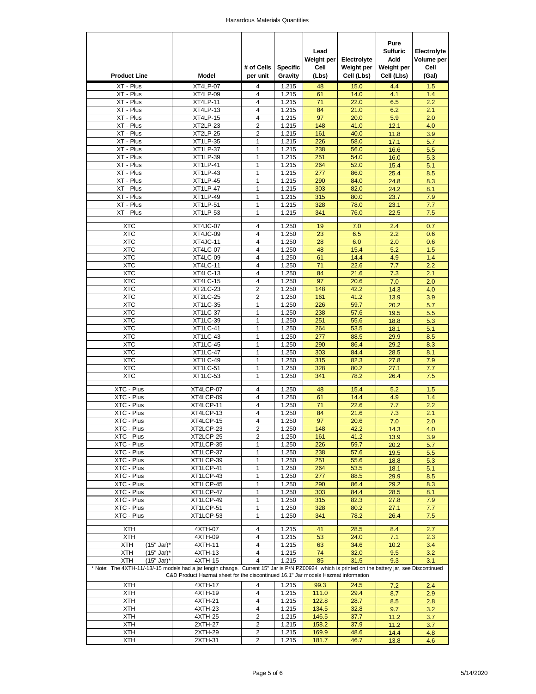| <b>Product Line</b>                                                                                                                                                                                                                   | Model           | # of Cells<br>per unit | <b>Specific</b><br>Gravity | Lead<br>Weight per<br>Cell<br>(Lbs) | Electrolyte<br>Weight per<br>Cell (Lbs) | Pure<br><b>Sulfuric</b><br>Acid<br>Weight per<br>Cell (Lbs) | Electrolyte<br>Volume per<br>Cell<br>(Gal) |
|---------------------------------------------------------------------------------------------------------------------------------------------------------------------------------------------------------------------------------------|-----------------|------------------------|----------------------------|-------------------------------------|-----------------------------------------|-------------------------------------------------------------|--------------------------------------------|
| XT - Plus                                                                                                                                                                                                                             | XT4LP-07        | 4                      | 1.215                      | 48                                  | 15.0                                    | 4.4                                                         | 1.5                                        |
| XT - Plus                                                                                                                                                                                                                             | XT4LP-09        | 4                      | 1.215                      | 61                                  | 14.0                                    | 4.1                                                         | 1.4                                        |
| XT - Plus                                                                                                                                                                                                                             | XT4LP-11        | $\overline{4}$         | 1.215                      | $\overline{71}$                     | 22.0                                    | 6.5                                                         | 2.2                                        |
| XT - Plus                                                                                                                                                                                                                             | XT4LP-13        | 4                      | 1.215                      | 84                                  | 21.0                                    | 6.2                                                         | 2.1                                        |
| XT - Plus                                                                                                                                                                                                                             | XT4LP-15        | 4                      | 1.215                      | 97                                  | 20.0                                    | 5.9                                                         | 2.0                                        |
| XT - Plus                                                                                                                                                                                                                             | XT2LP-23        | $\overline{2}$         | 1.215                      | 148                                 | 41.0                                    | 12.1                                                        | 4.0                                        |
| XT - Plus                                                                                                                                                                                                                             | XT2LP-25        | $\overline{2}$         | 1.215                      | 161                                 | 40.0                                    | 11.8                                                        | 3.9                                        |
| XT - Plus                                                                                                                                                                                                                             | <b>XT1LP-35</b> | 1                      | 1.215                      | 226                                 | 58.0                                    | 17.1                                                        | 5.7                                        |
| XT - Plus                                                                                                                                                                                                                             | XT1LP-37        | 1                      | 1.215                      | 238                                 | 56.0                                    | 16.6                                                        | 5.5                                        |
| XT - Plus                                                                                                                                                                                                                             | XT1LP-39        | 1                      | 1.215                      | 251                                 | 54.0                                    | 16.0                                                        | 5.3                                        |
| XT - Plus                                                                                                                                                                                                                             | XT1LP-41        | 1                      | 1.215                      | 264                                 | 52.0                                    | 15.4                                                        | 5.1                                        |
| XT - Plus                                                                                                                                                                                                                             | XT1LP-43        | 1                      | 1.215                      | 277                                 | 86.0                                    | 25.4                                                        | 8.5                                        |
| XT - Plus                                                                                                                                                                                                                             | XT1LP-45        | 1                      | 1.215                      | 290                                 | 84.0                                    | 24.8                                                        | 8.3                                        |
| XT - Plus                                                                                                                                                                                                                             | XT1LP-47        | 1                      | 1.215                      | 303                                 | 82.0                                    | 24.2                                                        | 8.1                                        |
| XT - Plus                                                                                                                                                                                                                             | XT1LP-49        | 1                      | 1.215                      | 315                                 | 80.0                                    | 23.7                                                        | 7.9                                        |
| XT - Plus                                                                                                                                                                                                                             | XT1LP-51        | $\mathbf{1}$           | 1.215                      | 328                                 | 78.0                                    | 23.1                                                        | 7.7                                        |
| XT - Plus                                                                                                                                                                                                                             | XT1LP-53        | $\mathbf{1}$           | 1.215                      | 341                                 | 76.0                                    | 22.5                                                        | 7.5                                        |
|                                                                                                                                                                                                                                       |                 |                        |                            |                                     |                                         |                                                             |                                            |
| XTC                                                                                                                                                                                                                                   | XT4JC-07        | 4                      | 1.250                      | 19                                  | 7.0                                     | 2.4                                                         | 0.7                                        |
| <b>XTC</b>                                                                                                                                                                                                                            | XT4JC-09        | 4                      | 1.250                      | 23                                  | 6.5                                     | 2.2                                                         | 0.6                                        |
| XTC                                                                                                                                                                                                                                   | <b>XT4JC-11</b> | 4                      | 1.250                      | 28                                  | 6.0                                     | 2.0                                                         | 0.6                                        |
| <b>XTC</b>                                                                                                                                                                                                                            | XT4LC-07        | 4                      | 1.250                      | 48                                  | 15.4                                    | 5.2                                                         | 1.5                                        |
| XTC                                                                                                                                                                                                                                   | XT4LC-09        | 4                      | 1.250                      | 61                                  | 14.4                                    | 4.9                                                         | 1.4                                        |
| <b>XTC</b>                                                                                                                                                                                                                            | XT4LC-11        | 4                      | 1.250                      | 71                                  | 22.6                                    | 7.7                                                         | 2.2                                        |
| XTC                                                                                                                                                                                                                                   | XT4LC-13        | 4                      | 1.250                      | 84                                  | 21.6                                    | 7.3                                                         | 2.1                                        |
| <b>XTC</b>                                                                                                                                                                                                                            | XT4LC-15        | 4                      | 1.250                      | 97                                  | 20.6                                    | 7.0                                                         | 2.0                                        |
| XTC                                                                                                                                                                                                                                   | XT2LC-23        | 2                      | 1.250                      | 148                                 | 42.2                                    | 14.3                                                        | 4.0                                        |
| <b>XTC</b>                                                                                                                                                                                                                            | XT2LC-25        | $\overline{2}$         | 1.250                      | 161                                 | 41.2                                    | 13.9                                                        | 3.9                                        |
| XTC                                                                                                                                                                                                                                   | XT1LC-35        | 1                      | 1.250                      | 226                                 | 59.7                                    | 20.2                                                        | 5.7                                        |
| <b>XTC</b>                                                                                                                                                                                                                            | XT1LC-37        | $\mathbf{1}$           | 1.250                      | 238                                 | 57.6                                    | 19.5                                                        | 5.5                                        |
| XTC                                                                                                                                                                                                                                   | XT1LC-39        | 1                      | 1.250                      | 251                                 | 55.6                                    | 18.8                                                        | 5.3                                        |
| <b>XTC</b>                                                                                                                                                                                                                            |                 | $\mathbf{1}$           | 1.250                      |                                     |                                         |                                                             |                                            |
|                                                                                                                                                                                                                                       | XT1LC-41        |                        |                            | 264                                 | 53.5                                    | 18.1                                                        | 5.1                                        |
| XTC                                                                                                                                                                                                                                   | XT1LC-43        | 1                      | 1.250                      | 277                                 | 88.5                                    | 29.9                                                        | 8.5                                        |
| <b>XTC</b>                                                                                                                                                                                                                            | XT1LC-45        | $\mathbf{1}$           | 1.250                      | 290                                 | 86.4                                    | 29.2                                                        | 8.3                                        |
| XTC                                                                                                                                                                                                                                   | XT1LC-47        | 1                      | 1.250                      | 303                                 | 84.4                                    | 28.5                                                        | 8.1                                        |
| <b>XTC</b>                                                                                                                                                                                                                            | XT1LC-49        | $\mathbf{1}$           | 1.250                      | 315                                 | 82.3                                    | 27.8                                                        | 7.9                                        |
| XTC                                                                                                                                                                                                                                   | XT1LC-51        | 1                      | 1.250                      | 328                                 | 80.2                                    | 27.1                                                        | 7.7                                        |
| <b>XTC</b>                                                                                                                                                                                                                            | XT1LC-53        | $\mathbf{1}$           | 1.250                      | 341                                 | 78.2                                    | 26.4                                                        | 7.5                                        |
| XTC - Plus                                                                                                                                                                                                                            | XT4LCP-07       | 4                      | 1.250                      | 48                                  | 15.4                                    | 5.2                                                         | 1.5                                        |
|                                                                                                                                                                                                                                       | XT4LCP-09       | 4                      |                            | 61                                  | 14.4                                    | 4.9                                                         |                                            |
| XTC - Plus                                                                                                                                                                                                                            |                 | $\overline{4}$         | 1.250                      |                                     |                                         |                                                             | 1.4                                        |
| XTC - Plus                                                                                                                                                                                                                            | XT4LCP-11       |                        | 1.250                      | 71                                  | 22.6                                    | 7.7                                                         | 2.2                                        |
| XTC - Plus                                                                                                                                                                                                                            | XT4LCP-13       | 4                      | 1.250                      | 84                                  | 21.6                                    | 7.3                                                         | 2.1                                        |
| XTC - Plus                                                                                                                                                                                                                            | XT4LCP-15       | 4                      | 1.250                      | 97                                  | 20.6                                    | 7.0                                                         | 2.0                                        |
| XTC - Plus                                                                                                                                                                                                                            | XT2LCP-23       | 2                      | 1.250                      | 148                                 | 42.2                                    | 14.3                                                        | 4.0                                        |
| XTC - Plus                                                                                                                                                                                                                            | XT2LCP-25       | $\overline{2}$         | 1.250                      | 161                                 | 41.2                                    | 13.9                                                        | 3.9                                        |
| XTC - Plus                                                                                                                                                                                                                            | XT1LCP-35       | 1                      | 1.250                      | 226                                 | 59.7                                    | 20.2                                                        | 5.7                                        |
| XTC - Plus                                                                                                                                                                                                                            | XT1LCP-37       | 1                      | 1.250                      | 238                                 | 57.6                                    | 19.5                                                        | 5.5                                        |
| XTC - Plus                                                                                                                                                                                                                            | XT1LCP-39       | 1                      | 1.250                      | 251                                 | 55.6                                    | 18.8                                                        | 5.3                                        |
| XTC - Plus                                                                                                                                                                                                                            | XT1LCP-41       | 1                      | 1.250                      | 264                                 | 53.5                                    | 18.1                                                        | 5.1                                        |
| XTC - Plus                                                                                                                                                                                                                            | XT1LCP-43       | 1                      | 1.250                      | 277                                 | 88.5                                    | 29.9                                                        | 8.5                                        |
| XTC - Plus                                                                                                                                                                                                                            | XT1LCP-45       | 1                      | 1.250                      | 290                                 | 86.4                                    | 29.2                                                        | 8.3                                        |
| XTC - Plus                                                                                                                                                                                                                            | XT1LCP-47       | 1                      | 1.250                      | 303                                 | 84.4                                    | 28.5                                                        | 8.1                                        |
| XTC - Plus                                                                                                                                                                                                                            | XT1LCP-49       | 1                      | 1.250                      | 315                                 | 82.3                                    | 27.8                                                        | 7.9                                        |
| XTC - Plus                                                                                                                                                                                                                            | XT1LCP-51       | 1                      | 1.250                      | 328                                 | 80.2                                    | 27.1                                                        | 7.7                                        |
| XTC - Plus                                                                                                                                                                                                                            | XT1LCP-53       | 1                      | 1.250                      | 341                                 | 78.2                                    | 26.4                                                        | 7.5                                        |
| <b>XTH</b>                                                                                                                                                                                                                            | 4XTH-07         | 4                      | 1.215                      | 41                                  | 28.5                                    | 8.4                                                         | 2.7                                        |
| <b>XTH</b>                                                                                                                                                                                                                            | 4XTH-09         | 4                      | 1.215                      | 53                                  | 24.0                                    | 7.1                                                         | 2.3                                        |
| XTH<br>(15" Jar)*                                                                                                                                                                                                                     | 4XTH-11         | 4                      | 1.215                      | 63                                  | 34.6                                    | 10.2                                                        | 3.4                                        |
| <b>XTH</b><br>(15" Jar)*                                                                                                                                                                                                              | 4XTH-13         | 4                      |                            | 74                                  | 32.0                                    |                                                             | 3.2                                        |
|                                                                                                                                                                                                                                       | 4XTH-15         | 4                      | 1.215                      | 85                                  | 31.5                                    | 9.5                                                         |                                            |
| XTH<br>(15" Jar)*                                                                                                                                                                                                                     |                 |                        | 1.215                      |                                     |                                         | 9.3                                                         | 3.1                                        |
| * Note: The 4XTH-11/-13/-15 models had a jar length change. Current 15" Jar is P/N PZ00924 which is printed on the battery jar, see Discontinued<br>C&D Product Hazmat sheet for the discontinued 16.1" Jar models Hazmat information |                 |                        |                            |                                     |                                         |                                                             |                                            |
| XTH                                                                                                                                                                                                                                   | 4XTH-17         | 4                      | 1.215                      | 99.3                                | 24.5                                    | 7.2                                                         | 2.4                                        |
| XTH                                                                                                                                                                                                                                   | 4XTH-19         | 4                      | 1.215                      | 111.0                               | 29.4                                    | 8.7                                                         | 2.9                                        |
| XTH                                                                                                                                                                                                                                   | 4XTH-21         | $\overline{4}$         | 1.215                      | 122.8                               | 28.7                                    | 8.5                                                         | 2.8                                        |
| XTH                                                                                                                                                                                                                                   | 4XTH-23         | 4                      | 1.215                      | 134.5                               | 32.8                                    | 9.7                                                         | 3.2                                        |
| XTH                                                                                                                                                                                                                                   | 4XTH-25         | 2                      | 1.215                      | 146.5                               | 37.7                                    | 11.2                                                        | 3.7                                        |
| XTH                                                                                                                                                                                                                                   | 2XTH-27         | 2                      | 1.215                      | 158.2                               | 37.9                                    | 11.2                                                        | 3.7                                        |
| XTH                                                                                                                                                                                                                                   | 2XTH-29         | 2                      | 1.215                      | 169.9                               | 48.6                                    | 14.4                                                        | 4.8                                        |
| XTH                                                                                                                                                                                                                                   | 2XTH-31         | 2                      | 1.215                      | 181.7                               | 46.7                                    | 13.8                                                        | 4.6                                        |
|                                                                                                                                                                                                                                       |                 |                        |                            |                                     |                                         |                                                             |                                            |